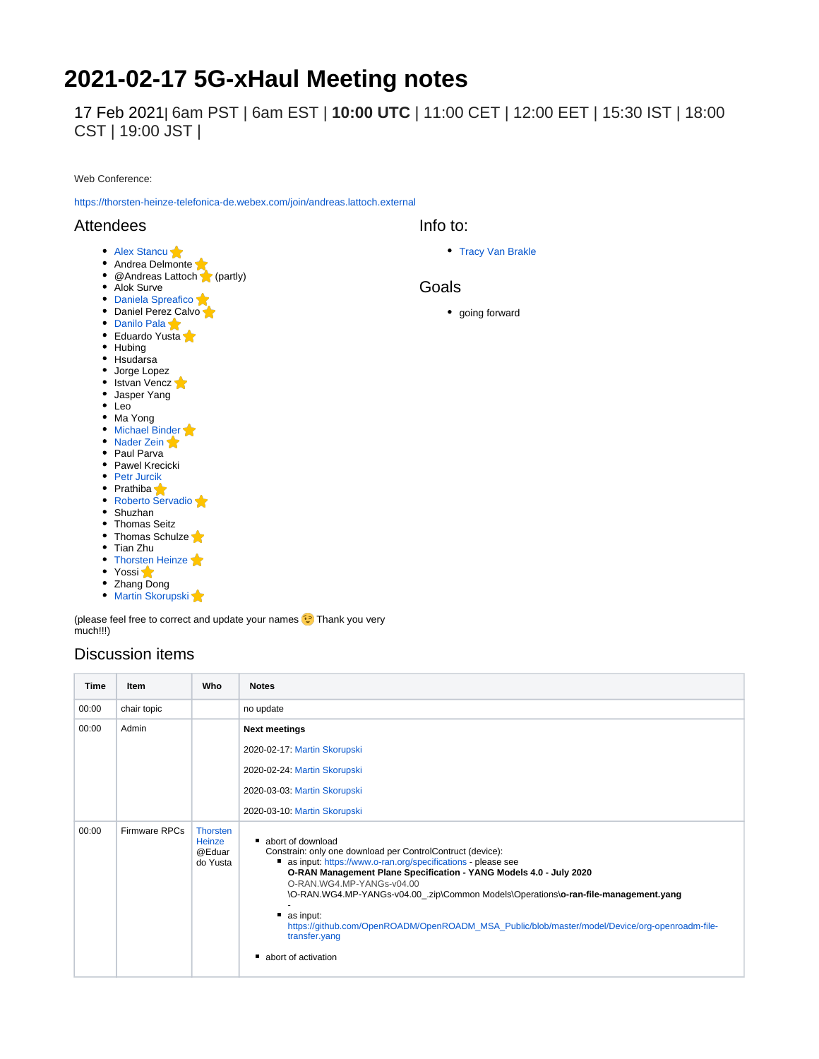# **2021-02-17 5G-xHaul Meeting notes**

17 Feb 2021| 6am PST | 6am EST | **10:00 UTC** | 11:00 CET | 12:00 EET | 15:30 IST | 18:00 CST | 19:00 JST |

Web Conference:

<https://thorsten-heinze-telefonica-de.webex.com/join/andreas.lattoch.external>

### Attendees

Info to:

[Tracy Van Brakle](https://wiki.opennetworking.org/display/~tracyvb)

#### Goals

• going forward

• Hubing

Alok Surve • [Daniela Spreafico](https://wiki.opennetworking.org/display/~spreafico.daniela) • Daniel Perez Calvo • [Danilo Pala](https://wiki.opennetworking.org/display/~danilo.pala) • Eduardo Yusta

- Hsudarsa Jorge Lopez
- Istvan Vencz

• [Alex Stancu](https://wiki.opennetworking.org/display/~alexandrus) Andrea Delmonte

@Andreas Lattoch (partly)

- Jasper Yang
- Leo
- Ma Yong
- [Michael Binder](https://wiki.opennetworking.org/display/~michael.binder)
- [Nader Zein](https://wiki.opennetworking.org/display/~nader.zein)
- Paul Parva
- Pawel Krecicki
- [Petr Jurcik](https://wiki.opennetworking.org/display/~petr.jurcik)
- Prathiba [Roberto Servadio](https://wiki.opennetworking.org/display/~roberto.servadio)
- Shuzhan
- Thomas Seitz
- Thomas Schulze
- Tian Zhu
- [Thorsten Heinze](https://wiki.opennetworking.org/display/~thorsten.heinze)
- Yossi
- Zhang Dong

• [Martin Skorupski](https://wiki.opennetworking.org/display/~demx8as6)

(please feel free to correct and update your names **C** Thank you very much!!!)

## Discussion items

| Time  | Item          | Who                                             | <b>Notes</b>                                                                                                                                                                                                                                                                                                                                                                                                                                                                                                        |
|-------|---------------|-------------------------------------------------|---------------------------------------------------------------------------------------------------------------------------------------------------------------------------------------------------------------------------------------------------------------------------------------------------------------------------------------------------------------------------------------------------------------------------------------------------------------------------------------------------------------------|
| 00:00 | chair topic   |                                                 | no update                                                                                                                                                                                                                                                                                                                                                                                                                                                                                                           |
| 00:00 | Admin         |                                                 | <b>Next meetings</b>                                                                                                                                                                                                                                                                                                                                                                                                                                                                                                |
|       |               |                                                 | 2020-02-17: Martin Skorupski                                                                                                                                                                                                                                                                                                                                                                                                                                                                                        |
|       |               |                                                 | 2020-02-24: Martin Skorupski                                                                                                                                                                                                                                                                                                                                                                                                                                                                                        |
|       |               |                                                 | 2020-03-03: Martin Skorupski                                                                                                                                                                                                                                                                                                                                                                                                                                                                                        |
|       |               |                                                 | 2020-03-10: Martin Skorupski                                                                                                                                                                                                                                                                                                                                                                                                                                                                                        |
| 00:00 | Firmware RPCs | <b>Thorsten</b><br>Heinze<br>@Eduar<br>do Yusta | abort of download<br>Constrain: only one download per ControlContruct (device):<br>as input: https://www.o-ran.org/specifications - please see<br>O-RAN Management Plane Specification - YANG Models 4.0 - July 2020<br>O-RAN.WG4.MP-YANGs-y04.00<br>\O-RAN.WG4.MP-YANGs-v04.00 .zip\Common Models\Operations\o-ran-file-management.yang<br>$\blacksquare$ as input:<br>https://github.com/OpenROADM/OpenROADM_MSA_Public/blob/master/model/Device/org-openroadm-file-<br>transfer.yang<br>abort of activation<br>п |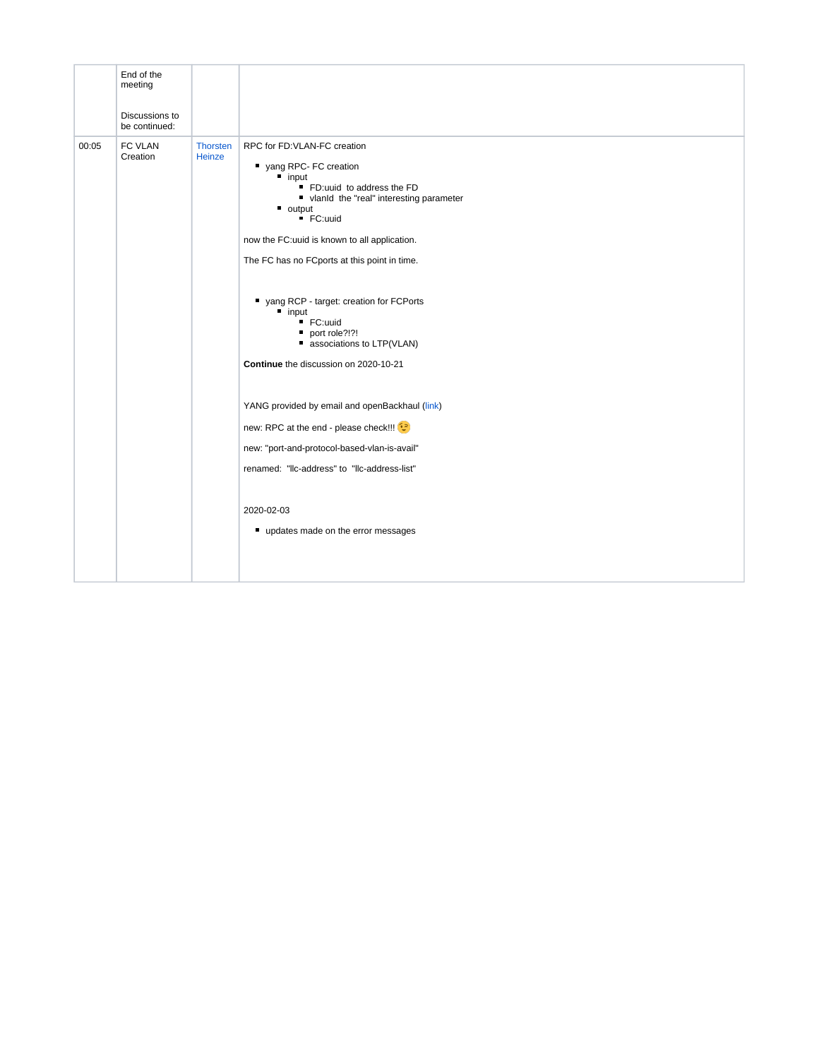|       | End of the<br>meeting<br>Discussions to<br>be continued: |                    |                                                                                                                                                                                                                                                                                                                                                                                                                                                                                                                                                                                                                                                                                                                |
|-------|----------------------------------------------------------|--------------------|----------------------------------------------------------------------------------------------------------------------------------------------------------------------------------------------------------------------------------------------------------------------------------------------------------------------------------------------------------------------------------------------------------------------------------------------------------------------------------------------------------------------------------------------------------------------------------------------------------------------------------------------------------------------------------------------------------------|
| 00:05 | FC VLAN<br>Creation                                      | Thorsten<br>Heinze | RPC for FD:VLAN-FC creation<br>yang RPC- FC creation<br>$\n  input\n$<br>FD:uuid to address the FD<br>vlanld the "real" interesting parameter<br>$\blacksquare$ output<br>■ FC:uuid<br>now the FC: uuid is known to all application.<br>The FC has no FCports at this point in time.<br>yang RCP - target: creation for FCPorts<br>" input<br>■ FC:uuid<br>port role?!?!<br>associations to LTP(VLAN)<br>Continue the discussion on 2020-10-21<br>YANG provided by email and openBackhaul (link)<br>new: RPC at the end - please check!!! <sup>(2)</sup><br>new: "port-and-protocol-based-vlan-is-avail"<br>renamed: "Ilc-address" to "Ilc-address-list"<br>2020-02-03<br>" updates made on the error messages |
|       |                                                          |                    |                                                                                                                                                                                                                                                                                                                                                                                                                                                                                                                                                                                                                                                                                                                |